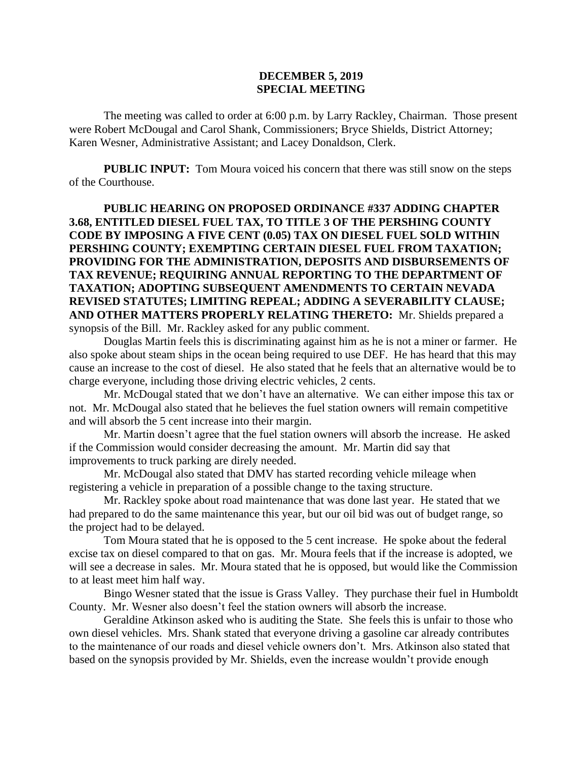## **DECEMBER 5, 2019 SPECIAL MEETING**

The meeting was called to order at 6:00 p.m. by Larry Rackley, Chairman. Those present were Robert McDougal and Carol Shank, Commissioners; Bryce Shields, District Attorney; Karen Wesner, Administrative Assistant; and Lacey Donaldson, Clerk.

**PUBLIC INPUT:** Tom Moura voiced his concern that there was still snow on the steps of the Courthouse.

**PUBLIC HEARING ON PROPOSED ORDINANCE #337 ADDING CHAPTER 3.68, ENTITLED DIESEL FUEL TAX, TO TITLE 3 OF THE PERSHING COUNTY CODE BY IMPOSING A FIVE CENT (0.05) TAX ON DIESEL FUEL SOLD WITHIN PERSHING COUNTY; EXEMPTING CERTAIN DIESEL FUEL FROM TAXATION; PROVIDING FOR THE ADMINISTRATION, DEPOSITS AND DISBURSEMENTS OF TAX REVENUE; REQUIRING ANNUAL REPORTING TO THE DEPARTMENT OF TAXATION; ADOPTING SUBSEQUENT AMENDMENTS TO CERTAIN NEVADA REVISED STATUTES; LIMITING REPEAL; ADDING A SEVERABILITY CLAUSE; AND OTHER MATTERS PROPERLY RELATING THERETO:** Mr. Shields prepared a synopsis of the Bill. Mr. Rackley asked for any public comment.

Douglas Martin feels this is discriminating against him as he is not a miner or farmer. He also spoke about steam ships in the ocean being required to use DEF. He has heard that this may cause an increase to the cost of diesel. He also stated that he feels that an alternative would be to charge everyone, including those driving electric vehicles, 2 cents.

Mr. McDougal stated that we don't have an alternative. We can either impose this tax or not. Mr. McDougal also stated that he believes the fuel station owners will remain competitive and will absorb the 5 cent increase into their margin.

Mr. Martin doesn't agree that the fuel station owners will absorb the increase. He asked if the Commission would consider decreasing the amount. Mr. Martin did say that improvements to truck parking are direly needed.

Mr. McDougal also stated that DMV has started recording vehicle mileage when registering a vehicle in preparation of a possible change to the taxing structure.

Mr. Rackley spoke about road maintenance that was done last year. He stated that we had prepared to do the same maintenance this year, but our oil bid was out of budget range, so the project had to be delayed.

Tom Moura stated that he is opposed to the 5 cent increase. He spoke about the federal excise tax on diesel compared to that on gas. Mr. Moura feels that if the increase is adopted, we will see a decrease in sales. Mr. Moura stated that he is opposed, but would like the Commission to at least meet him half way.

Bingo Wesner stated that the issue is Grass Valley. They purchase their fuel in Humboldt County. Mr. Wesner also doesn't feel the station owners will absorb the increase.

Geraldine Atkinson asked who is auditing the State. She feels this is unfair to those who own diesel vehicles. Mrs. Shank stated that everyone driving a gasoline car already contributes to the maintenance of our roads and diesel vehicle owners don't. Mrs. Atkinson also stated that based on the synopsis provided by Mr. Shields, even the increase wouldn't provide enough